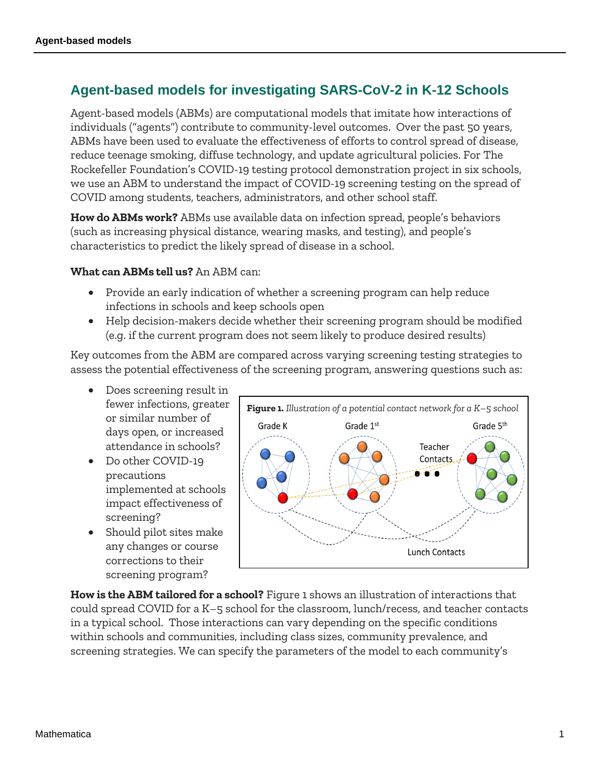## **Agent-based models for investigating SARS-CoV-2 in K-12 Schools**

Agent-based models (ABMs) are computational models that imitate how interactions of individuals ("agents") contribute to community-level outcomes. Over the past 50 years, ABMs have been used to evaluate the effectiveness of efforts to control spread of disease, reduce teenage smoking, diffuse technology, and update agricultural policies. For The Rockefeller Foundation's COVID-19 testing protocol demonstration project in six schools, we use an ABM to understand the impact of COVID-19 screening testing on the spread of COVID among students, teachers, administrators, and other school staff.

**How do ABMs work?** ABMs use available data on infection spread, people's behaviors (such as increasing physical distance, wearing masks, and testing), and people's characteristics to predict the likely spread of disease in a school.

## **What can ABMs tell us?** An ABM can:

- Provide an early indication of whether a screening program can help reduce infections in schools and keep schools open
- Help decision-makers decide whether their screening program should be modified (e.g. if the current program does not seem likely to produce desired results)

Key outcomes from the ABM are compared across varying screening testing strategies to assess the potential effectiveness of the screening program, answering questions such as:

- Does screening result in fewer infections, greater or similar number of days open, or increased attendance in schools?
- Do other COVID-19 precautions implemented at schools impact effectiveness of screening?
- Should pilot sites make any changes or course corrections to their screening program?



**How is the ABM tailored for a school?** Figure 1 shows an illustration of interactions that could spread COVID for a K–5 school for the classroom, lunch/recess, and teacher contacts in a typical school. Those interactions can vary depending on the specific conditions within schools and communities, including class sizes, community prevalence, and screening strategies. We can specify the parameters of the model to each community's